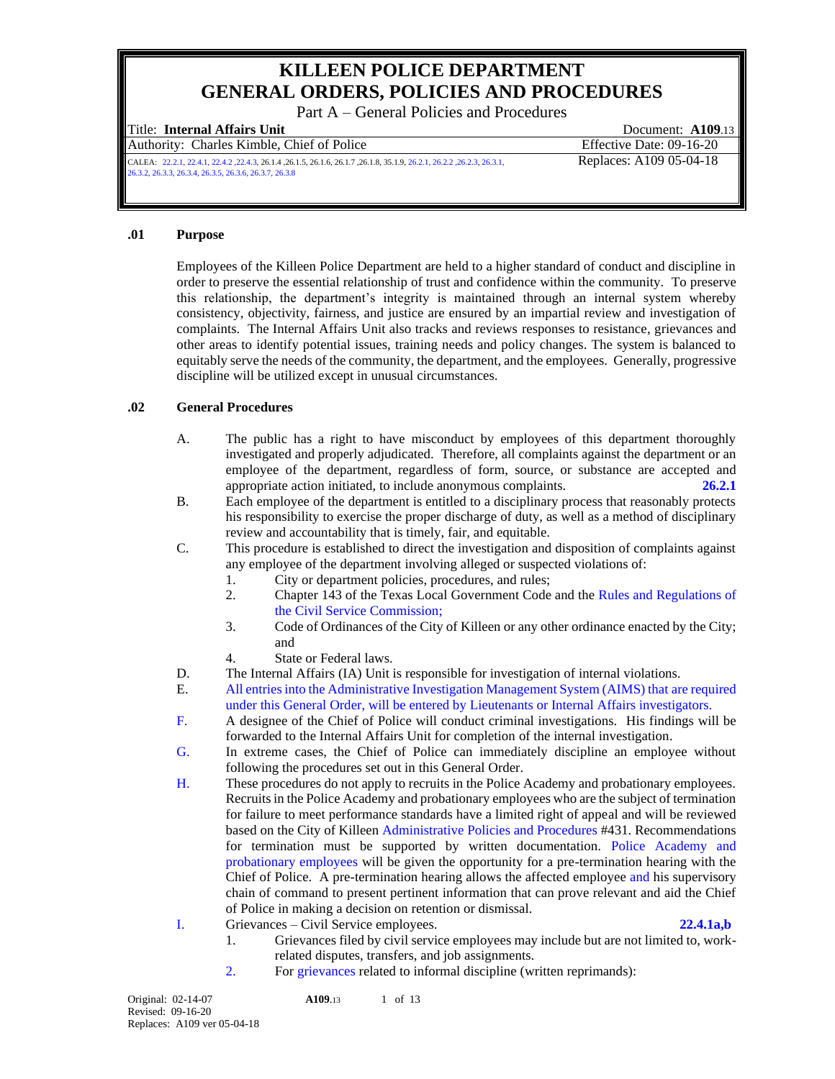# **KILLEEN POLICE DEPARTMENT GENERAL ORDERS, POLICIES AND PROCEDURES**

Part A – General Policies and Procedures

Authority: Charles Kimble, Chief of Police Effective Date: 09-16-20

Title: **Internal Affairs Unit** Document: **A109**.13

CALEA: 22.2.1, 22.4.1, 22.4.2 ,22.4.3, 26.1.4 ,26.1.5, 26.1.6, 26.1.7 ,26.1.8, 35.1.9, 26.2.1, 26.2.2 ,26.2.3, 26.3.1, Replaces: A109 05-04-18 26.3.2, 26.3.3, 26.3.4, 26.3.5, 26.3.6, 26.3.7, 26.3.8

# **.01 Purpose**

Employees of the Killeen Police Department are held to a higher standard of conduct and discipline in order to preserve the essential relationship of trust and confidence within the community. To preserve this relationship, the department's integrity is maintained through an internal system whereby consistency, objectivity, fairness, and justice are ensured by an impartial review and investigation of complaints. The Internal Affairs Unit also tracks and reviews responses to resistance, grievances and other areas to identify potential issues, training needs and policy changes. The system is balanced to equitably serve the needs of the community, the department, and the employees. Generally, progressive discipline will be utilized except in unusual circumstances.

### **.02 General Procedures**

- A. The public has a right to have misconduct by employees of this department thoroughly investigated and properly adjudicated. Therefore, all complaints against the department or an employee of the department, regardless of form, source, or substance are accepted and appropriate action initiated, to include anonymous complaints. **26.2.1**
- B. Each employee of the department is entitled to a disciplinary process that reasonably protects his responsibility to exercise the proper discharge of duty, as well as a method of disciplinary review and accountability that is timely, fair, and equitable.
- C. This procedure is established to direct the investigation and disposition of complaints against any employee of the department involving alleged or suspected violations of:
	- 1. City or department policies, procedures, and rules;
	- 2. Chapter 143 of the Texas Local Government Code and the Rules and Regulations of the Civil Service Commission;
	- 3. Code of Ordinances of the City of Killeen or any other ordinance enacted by the City; and
	- 4. State or Federal laws.
- D. The Internal Affairs (IA) Unit is responsible for investigation of internal violations.
- E. All entries into the Administrative Investigation Management System (AIMS) that are required under this General Order, will be entered by Lieutenants or Internal Affairs investigators.
- F. A designee of the Chief of Police will conduct criminal investigations. His findings will be forwarded to the Internal Affairs Unit for completion of the internal investigation.
- G. In extreme cases, the Chief of Police can immediately discipline an employee without following the procedures set out in this General Order.
- H. These procedures do not apply to recruits in the Police Academy and probationary employees. Recruits in the Police Academy and probationary employees who are the subject of termination for failure to meet performance standards have a limited right of appeal and will be reviewed based on the City of Killeen Administrative Policies and Procedures #431. Recommendations for termination must be supported by written documentation. Police Academy and probationary employees will be given the opportunity for a pre-termination hearing with the Chief of Police. A pre-termination hearing allows the affected employee and his supervisory chain of command to present pertinent information that can prove relevant and aid the Chief of Police in making a decision on retention or dismissal.
- I. Grievances Civil Service employees. **22.4.1a,b**

- 1. Grievances filed by civil service employees may include but are not limited to, workrelated disputes, transfers, and job assignments.
- 2. For grievances related to informal discipline (written reprimands):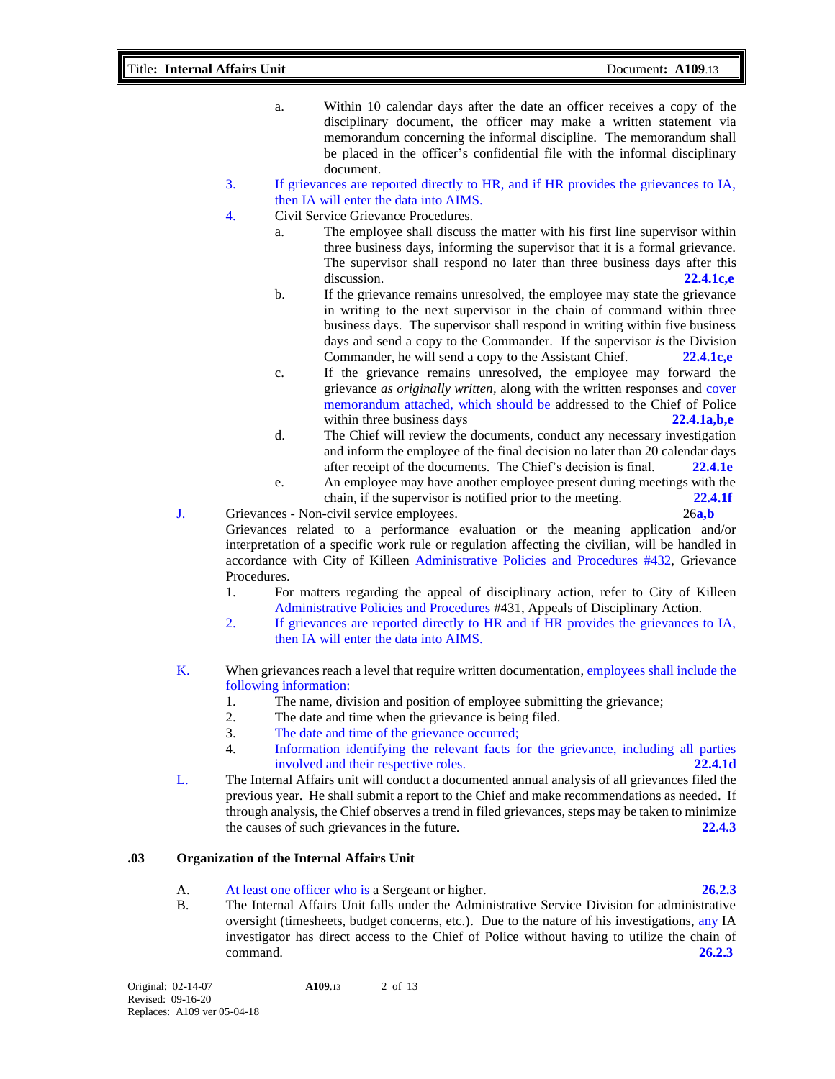- a. Within 10 calendar days after the date an officer receives a copy of the disciplinary document, the officer may make a written statement via memorandum concerning the informal discipline. The memorandum shall be placed in the officer's confidential file with the informal disciplinary document.
- 3. If grievances are reported directly to HR, and if HR provides the grievances to IA, then IA will enter the data into AIMS.
- 4. Civil Service Grievance Procedures.
	- a. The employee shall discuss the matter with his first line supervisor within three business days, informing the supervisor that it is a formal grievance. The supervisor shall respond no later than three business days after this discussion. **22.4.1c,e** 
		- b. If the grievance remains unresolved, the employee may state the grievance in writing to the next supervisor in the chain of command within three business days. The supervisor shall respond in writing within five business days and send a copy to the Commander. If the supervisor *is* the Division Commander, he will send a copy to the Assistant Chief. **22.4.1c,e**
		- c. If the grievance remains unresolved, the employee may forward the grievance *as originally written,* along with the written responses and cover memorandum attached, which should be addressed to the Chief of Police within three business days **22.4.1a,b,e**
		- d. The Chief will review the documents, conduct any necessary investigation and inform the employee of the final decision no later than 20 calendar days after receipt of the documents. The Chief's decision is final. **22.4.1e**
		- e. An employee may have another employee present during meetings with the chain, if the supervisor is notified prior to the meeting. **22.4.1f**
- J. Grievances Non-civil service employees. 26**a,b** Grievances related to a performance evaluation or the meaning application and/or interpretation of a specific work rule or regulation affecting the civilian, will be handled in accordance with City of Killeen Administrative Policies and Procedures #432, Grievance Procedures.
	- 1. For matters regarding the appeal of disciplinary action, refer to City of Killeen Administrative Policies and Procedures #431, Appeals of Disciplinary Action.
	- 2. If grievances are reported directly to HR and if HR provides the grievances to IA, then IA will enter the data into AIMS.
- K. When grievances reach a level that require written documentation, employees shall include the following information:
	- 1. The name, division and position of employee submitting the grievance;
	- 2. The date and time when the grievance is being filed.
	- 3. The date and time of the grievance occurred;
	- 4. Information identifying the relevant facts for the grievance, including all parties involved and their respective roles. **22.4.1d**
- L. The Internal Affairs unit will conduct a documented annual analysis of all grievances filed the previous year. He shall submit a report to the Chief and make recommendations as needed. If through analysis, the Chief observes a trend in filed grievances, steps may be taken to minimize the causes of such grievances in the future. **22.4.3**

# **.03 Organization of the Internal Affairs Unit**

- A. At least one officer who is a Sergeant or higher. **26.2.3**
- B. The Internal Affairs Unit falls under the Administrative Service Division for administrative oversight (timesheets, budget concerns, etc.). Due to the nature of his investigations, any IA investigator has direct access to the Chief of Police without having to utilize the chain of command. **26.2.3**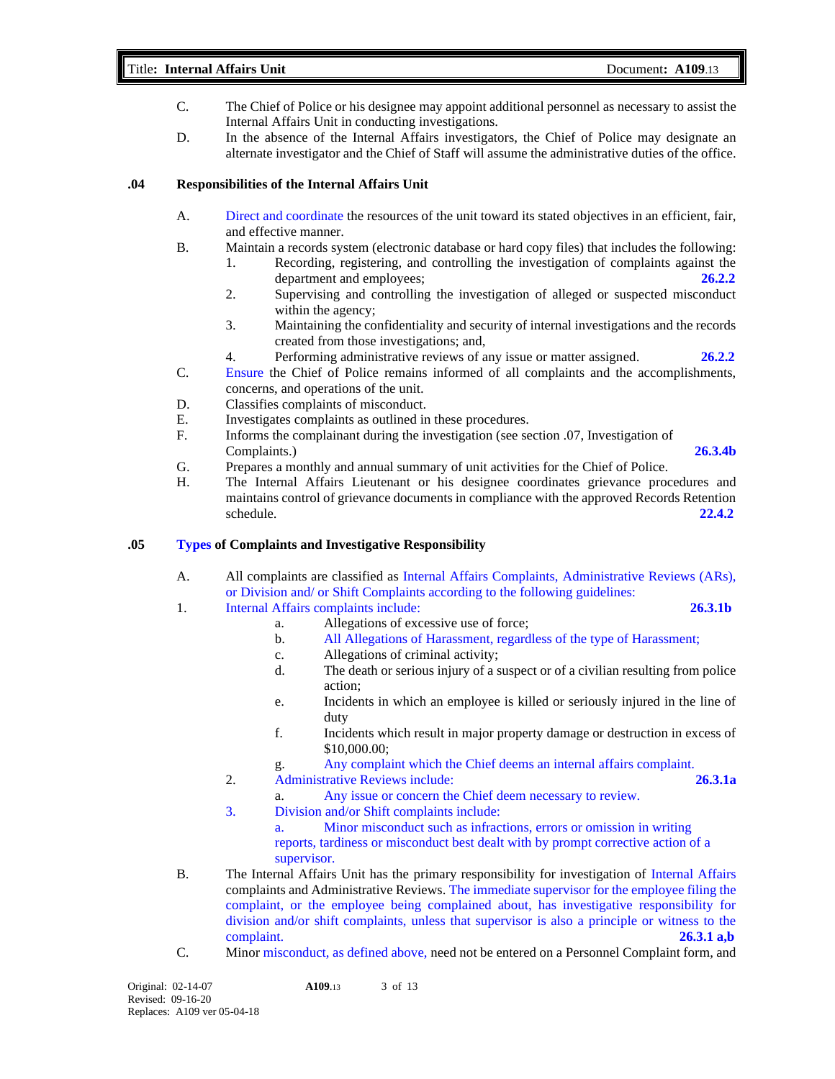### Title**: Internal Affairs Unit** Document**: A109**.13

- C. The Chief of Police or his designee may appoint additional personnel as necessary to assist the Internal Affairs Unit in conducting investigations.
- D. In the absence of the Internal Affairs investigators, the Chief of Police may designate an alternate investigator and the Chief of Staff will assume the administrative duties of the office.

# **.04 Responsibilities of the Internal Affairs Unit**

- A. Direct and coordinate the resources of the unit toward its stated objectives in an efficient, fair, and effective manner.
- B. Maintain a records system (electronic database or hard copy files) that includes the following:
	- 1. Recording, registering, and controlling the investigation of complaints against the department and employees; **26.2.2**
	- 2. Supervising and controlling the investigation of alleged or suspected misconduct within the agency;
	- 3. Maintaining the confidentiality and security of internal investigations and the records created from those investigations; and,
	- 4. Performing administrative reviews of any issue or matter assigned. **26.2.2**
- C. Ensure the Chief of Police remains informed of all complaints and the accomplishments, concerns, and operations of the unit.
- D. Classifies complaints of misconduct.
- E. Investigates complaints as outlined in these procedures.
- F. Informs the complainant during the investigation (see section .07, Investigation of Complaints.) **26.3.4b**
- G. Prepares a monthly and annual summary of unit activities for the Chief of Police.
- H. The Internal Affairs Lieutenant or his designee coordinates grievance procedures and maintains control of grievance documents in compliance with the approved Records Retention schedule. **22.4.2**

# **.05 Types of Complaints and Investigative Responsibility**

A. All complaints are classified as Internal Affairs Complaints, Administrative Reviews (ARs), or Division and/ or Shift Complaints according to the following guidelines:

# 1. Internal Affairs complaints include: **26.3.1b**

- a. Allegations of excessive use of force;
	- b. All Allegations of Harassment, regardless of the type of Harassment;
	- c. Allegations of criminal activity;
	- d. The death or serious injury of a suspect or of a civilian resulting from police action;
	- e. Incidents in which an employee is killed or seriously injured in the line of duty
	- f. Incidents which result in major property damage or destruction in excess of \$10,000.00;
	- g. Any complaint which the Chief deems an internal affairs complaint.
- 2. Administrative Reviews include: **26.3.1a**
	- a. Any issue or concern the Chief deem necessary to review.
- 3. Division and/or Shift complaints include:

a. Minor misconduct such as infractions, errors or omission in writing reports, tardiness or misconduct best dealt with by prompt corrective action of a supervisor.

- B. The Internal Affairs Unit has the primary responsibility for investigation of Internal Affairs complaints and Administrative Reviews. The immediate supervisor for the employee filing the complaint, or the employee being complained about, has investigative responsibility for division and/or shift complaints, unless that supervisor is also a principle or witness to the complaint. **26.3.1 a,b**
- C. Minor misconduct, as defined above, need not be entered on a Personnel Complaint form, and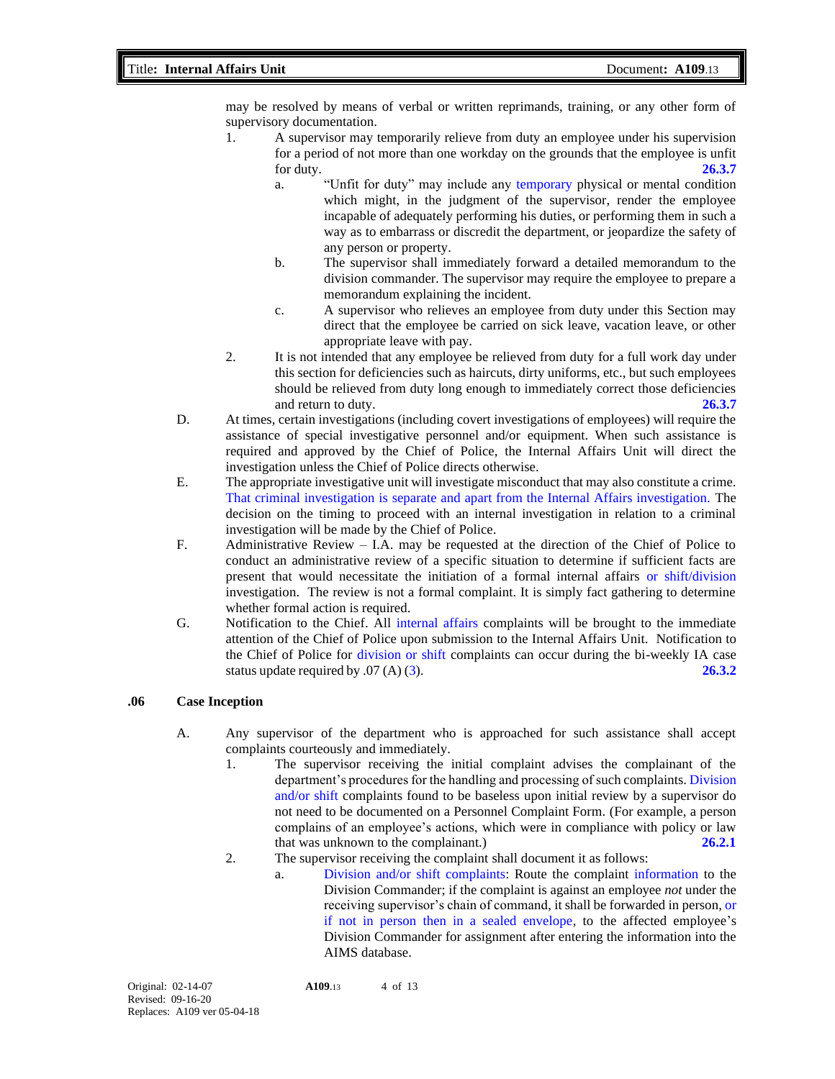may be resolved by means of verbal or written reprimands, training, or any other form of supervisory documentation.

- 1. A supervisor may temporarily relieve from duty an employee under his supervision for a period of not more than one workday on the grounds that the employee is unfit for duty. **26.3.7**
	- a. "Unfit for duty" may include any temporary physical or mental condition which might, in the judgment of the supervisor, render the employee incapable of adequately performing his duties, or performing them in such a way as to embarrass or discredit the department, or jeopardize the safety of any person or property.
	- b. The supervisor shall immediately forward a detailed memorandum to the division commander. The supervisor may require the employee to prepare a memorandum explaining the incident.
	- c. A supervisor who relieves an employee from duty under this Section may direct that the employee be carried on sick leave, vacation leave, or other appropriate leave with pay.
- 2. It is not intended that any employee be relieved from duty for a full work day under this section for deficiencies such as haircuts, dirty uniforms, etc., but such employees should be relieved from duty long enough to immediately correct those deficiencies and return to duty. **26.3.7**
- D. At times, certain investigations (including covert investigations of employees) will require the assistance of special investigative personnel and/or equipment. When such assistance is required and approved by the Chief of Police, the Internal Affairs Unit will direct the investigation unless the Chief of Police directs otherwise.
- E. The appropriate investigative unit will investigate misconduct that may also constitute a crime. That criminal investigation is separate and apart from the Internal Affairs investigation. The decision on the timing to proceed with an internal investigation in relation to a criminal investigation will be made by the Chief of Police.
- F. Administrative Review I.A. may be requested at the direction of the Chief of Police to conduct an administrative review of a specific situation to determine if sufficient facts are present that would necessitate the initiation of a formal internal affairs or shift/division investigation. The review is not a formal complaint. It is simply fact gathering to determine whether formal action is required.
- G. Notification to the Chief. All internal affairs complaints will be brought to the immediate attention of the Chief of Police upon submission to the Internal Affairs Unit. Notification to the Chief of Police for division or shift complaints can occur during the bi-weekly IA case status update required by .07 (A) (3). **26.3.2**

#### **.06 Case Inception**

- A. Any supervisor of the department who is approached for such assistance shall accept complaints courteously and immediately.
	- 1. The supervisor receiving the initial complaint advises the complainant of the department's procedures for the handling and processing of such complaints. Division and/or shift complaints found to be baseless upon initial review by a supervisor do not need to be documented on a Personnel Complaint Form. (For example, a person complains of an employee's actions, which were in compliance with policy or law that was unknown to the complainant.) **26.2.1**
	- 2. The supervisor receiving the complaint shall document it as follows:
		- a. Division and/or shift complaints: Route the complaint information to the Division Commander; if the complaint is against an employee *not* under the receiving supervisor's chain of command, it shall be forwarded in person, or if not in person then in a sealed envelope, to the affected employee's Division Commander for assignment after entering the information into the AIMS database.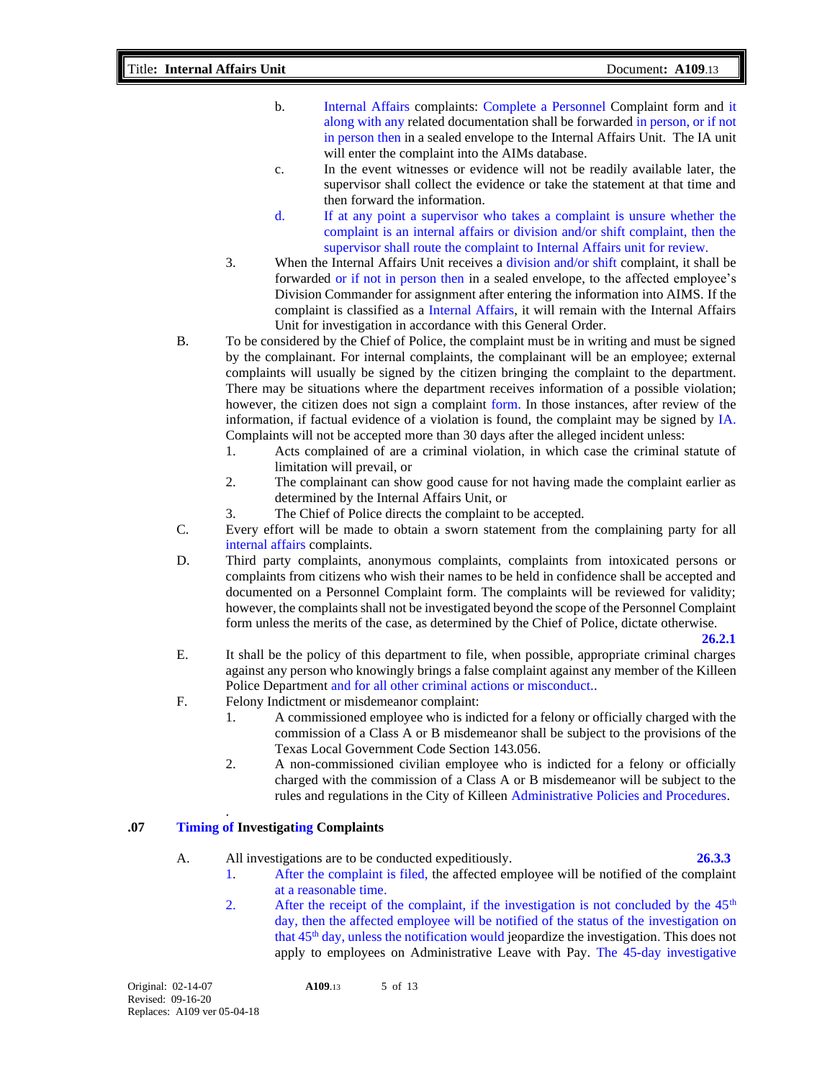- b. Internal Affairs complaints: Complete a Personnel Complaint form and it along with any related documentation shall be forwarded in person, or if not in person then in a sealed envelope to the Internal Affairs Unit. The IA unit will enter the complaint into the AIMs database.
- c. In the event witnesses or evidence will not be readily available later, the supervisor shall collect the evidence or take the statement at that time and then forward the information.
- d. If at any point a supervisor who takes a complaint is unsure whether the complaint is an internal affairs or division and/or shift complaint, then the supervisor shall route the complaint to Internal Affairs unit for review.
- 3. When the Internal Affairs Unit receives a division and/or shift complaint, it shall be forwarded or if not in person then in a sealed envelope, to the affected employee's Division Commander for assignment after entering the information into AIMS. If the complaint is classified as a Internal Affairs, it will remain with the Internal Affairs Unit for investigation in accordance with this General Order.
- B. To be considered by the Chief of Police, the complaint must be in writing and must be signed by the complainant. For internal complaints, the complainant will be an employee; external complaints will usually be signed by the citizen bringing the complaint to the department. There may be situations where the department receives information of a possible violation; however, the citizen does not sign a complaint form. In those instances, after review of the information, if factual evidence of a violation is found, the complaint may be signed by IA. Complaints will not be accepted more than 30 days after the alleged incident unless:
	- 1. Acts complained of are a criminal violation, in which case the criminal statute of limitation will prevail, or
	- 2. The complainant can show good cause for not having made the complaint earlier as determined by the Internal Affairs Unit, or
	- 3. The Chief of Police directs the complaint to be accepted.
- C. Every effort will be made to obtain a sworn statement from the complaining party for all internal affairs complaints.
- D. Third party complaints, anonymous complaints, complaints from intoxicated persons or complaints from citizens who wish their names to be held in confidence shall be accepted and documented on a Personnel Complaint form. The complaints will be reviewed for validity; however, the complaints shall not be investigated beyond the scope of the Personnel Complaint form unless the merits of the case, as determined by the Chief of Police, dictate otherwise.

**26.2.1**

- E. It shall be the policy of this department to file, when possible, appropriate criminal charges against any person who knowingly brings a false complaint against any member of the Killeen Police Department and for all other criminal actions or misconduct..
- F. Felony Indictment or misdemeanor complaint:
	- 1. A commissioned employee who is indicted for a felony or officially charged with the commission of a Class A or B misdemeanor shall be subject to the provisions of the Texas Local Government Code Section 143.056.
	- 2. A non-commissioned civilian employee who is indicted for a felony or officially charged with the commission of a Class A or B misdemeanor will be subject to the rules and regulations in the City of Killeen Administrative Policies and Procedures.

# **.07 Timing of Investigating Complaints**

.

A. All investigations are to be conducted expeditiously. **26.3.3**

- 1. After the complaint is filed, the affected employee will be notified of the complaint at a reasonable time.
- 2. After the receipt of the complaint, if the investigation is not concluded by the  $45<sup>th</sup>$ day, then the affected employee will be notified of the status of the investigation on that 45th day, unless the notification would jeopardize the investigation. This does not apply to employees on Administrative Leave with Pay. The 45-day investigative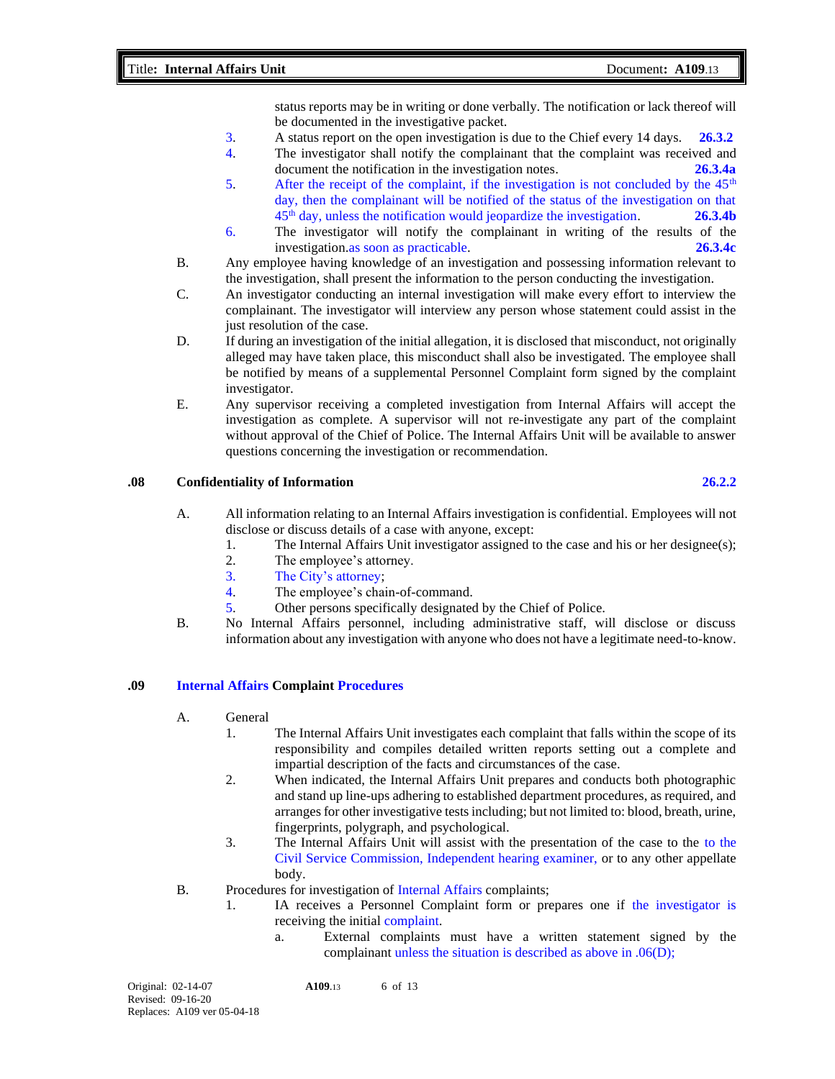status reports may be in writing or done verbally. The notification or lack thereof will be documented in the investigative packet.

- 3. A status report on the open investigation is due to the Chief every 14 days. **26.3.2**
- 4. The investigator shall notify the complainant that the complaint was received and document the notification in the investigation notes. **26.3.4a**
- 5. After the receipt of the complaint, if the investigation is not concluded by the  $45<sup>th</sup>$ day, then the complainant will be notified of the status of the investigation on that 45th day, unless the notification would jeopardize the investigation. **26.3.4b**
- 6. The investigator will notify the complainant in writing of the results of the investigation.as soon as practicable. **26.3.4c**
- B. Any employee having knowledge of an investigation and possessing information relevant to the investigation, shall present the information to the person conducting the investigation.
- C. An investigator conducting an internal investigation will make every effort to interview the complainant. The investigator will interview any person whose statement could assist in the just resolution of the case.
- D. If during an investigation of the initial allegation, it is disclosed that misconduct, not originally alleged may have taken place, this misconduct shall also be investigated. The employee shall be notified by means of a supplemental Personnel Complaint form signed by the complaint investigator.
- E. Any supervisor receiving a completed investigation from Internal Affairs will accept the investigation as complete. A supervisor will not re-investigate any part of the complaint without approval of the Chief of Police. The Internal Affairs Unit will be available to answer questions concerning the investigation or recommendation.

### **.08 Confidentiality of Information 26.2.2**

- A. All information relating to an Internal Affairs investigation is confidential. Employees will not disclose or discuss details of a case with anyone, except:
	- 1. The Internal Affairs Unit investigator assigned to the case and his or her designee(s);
	- 2. The employee's attorney.
	- 3. The City's attorney;
	- 4. The employee's chain-of-command.
	- 5. Other persons specifically designated by the Chief of Police.
- B. No Internal Affairs personnel, including administrative staff, will disclose or discuss information about any investigation with anyone who does not have a legitimate need-to-know.

#### **.09 Internal Affairs Complaint Procedures**

- A. General
	- 1. The Internal Affairs Unit investigates each complaint that falls within the scope of its responsibility and compiles detailed written reports setting out a complete and impartial description of the facts and circumstances of the case.
	- 2. When indicated, the Internal Affairs Unit prepares and conducts both photographic and stand up line-ups adhering to established department procedures, as required, and arranges for other investigative tests including; but not limited to: blood, breath, urine, fingerprints, polygraph, and psychological.
	- 3. The Internal Affairs Unit will assist with the presentation of the case to the to the Civil Service Commission, Independent hearing examiner, or to any other appellate body.
- B. Procedures for investigation of Internal Affairs complaints;
	- 1. IA receives a Personnel Complaint form or prepares one if the investigator is receiving the initial complaint.
		- a. External complaints must have a written statement signed by the complainant unless the situation is described as above in .06(D);

Original: 02-14-07 **A109**.13 6 of 13 Revised: 09-16-20 Replaces: A109 ver 05-04-18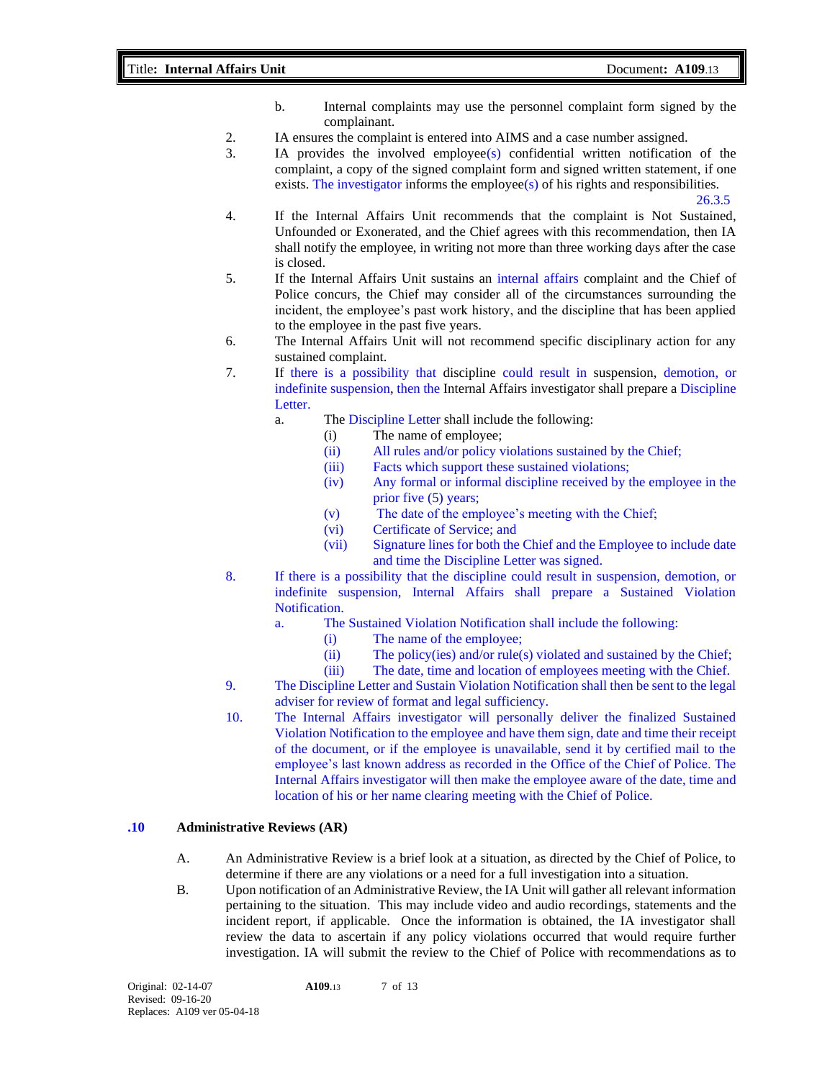- b. Internal complaints may use the personnel complaint form signed by the complainant.
- 2. IA ensures the complaint is entered into AIMS and a case number assigned.
- 3. IA provides the involved employee(s) confidential written notification of the complaint, a copy of the signed complaint form and signed written statement, if one exists. The investigator informs the employee(s) of his rights and responsibilities.  $26.3.5$

- 4. If the Internal Affairs Unit recommends that the complaint is Not Sustained, Unfounded or Exonerated, and the Chief agrees with this recommendation, then IA shall notify the employee, in writing not more than three working days after the case is closed.
- 5. If the Internal Affairs Unit sustains an internal affairs complaint and the Chief of Police concurs, the Chief may consider all of the circumstances surrounding the incident, the employee's past work history, and the discipline that has been applied to the employee in the past five years.
- 6. The Internal Affairs Unit will not recommend specific disciplinary action for any sustained complaint.
- 7. If there is a possibility that discipline could result in suspension, demotion, or indefinite suspension, then the Internal Affairs investigator shall prepare a Discipline Letter.
	- a. The Discipline Letter shall include the following:
		- (i) The name of employee;
			- (ii) All rules and/or policy violations sustained by the Chief;
			- (iii) Facts which support these sustained violations;
			- (iv) Any formal or informal discipline received by the employee in the prior five (5) years;
			- (v) The date of the employee's meeting with the Chief;
			- (vi) Certificate of Service; and
		- (vii) Signature lines for both the Chief and the Employee to include date and time the Discipline Letter was signed.
- 8. If there is a possibility that the discipline could result in suspension, demotion, or indefinite suspension, Internal Affairs shall prepare a Sustained Violation Notification.
	- a. The Sustained Violation Notification shall include the following:
		- (i) The name of the employee;
		- (ii) The policy(ies) and/or rule(s) violated and sustained by the Chief;
		- (iii) The date, time and location of employees meeting with the Chief.
- 9. The Discipline Letter and Sustain Violation Notification shall then be sent to the legal adviser for review of format and legal sufficiency.
- 10. The Internal Affairs investigator will personally deliver the finalized Sustained Violation Notification to the employee and have them sign, date and time their receipt of the document, or if the employee is unavailable, send it by certified mail to the employee's last known address as recorded in the Office of the Chief of Police. The Internal Affairs investigator will then make the employee aware of the date, time and location of his or her name clearing meeting with the Chief of Police.

#### **.10 Administrative Reviews (AR)**

- A. An Administrative Review is a brief look at a situation, as directed by the Chief of Police, to determine if there are any violations or a need for a full investigation into a situation.
- B. Upon notification of an Administrative Review, the IA Unit will gather all relevant information pertaining to the situation. This may include video and audio recordings, statements and the incident report, if applicable. Once the information is obtained, the IA investigator shall review the data to ascertain if any policy violations occurred that would require further investigation. IA will submit the review to the Chief of Police with recommendations as to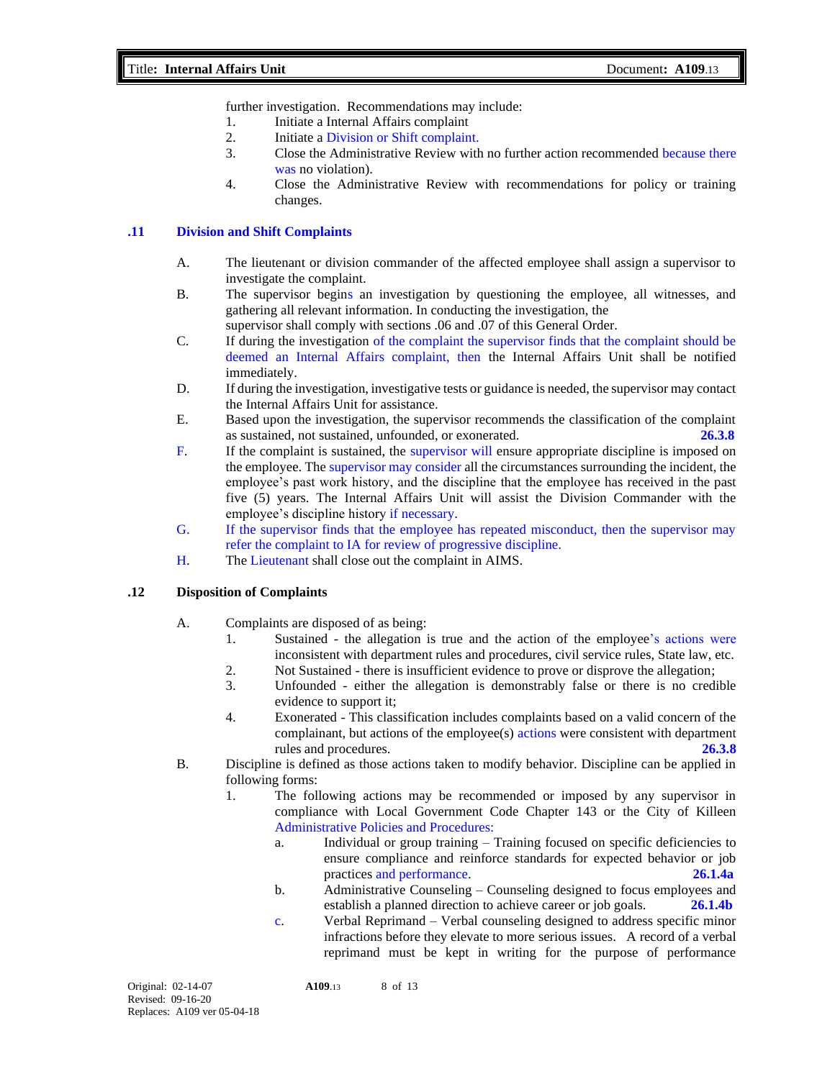further investigation. Recommendations may include:

- 1. Initiate a Internal Affairs complaint
- 2. Initiate a Division or Shift complaint.
- 3. Close the Administrative Review with no further action recommended because there was no violation).
- 4. Close the Administrative Review with recommendations for policy or training changes.

# **.11 Division and Shift Complaints**

- A. The lieutenant or division commander of the affected employee shall assign a supervisor to investigate the complaint.
- B. The supervisor begins an investigation by questioning the employee, all witnesses, and gathering all relevant information. In conducting the investigation, the

supervisor shall comply with sections .06 and .07 of this General Order.

- C. If during the investigation of the complaint the supervisor finds that the complaint should be deemed an Internal Affairs complaint, then the Internal Affairs Unit shall be notified immediately.
- D. If during the investigation, investigative tests or guidance is needed, the supervisor may contact the Internal Affairs Unit for assistance.
- E. Based upon the investigation, the supervisor recommends the classification of the complaint as sustained, not sustained, unfounded, or exonerated. **26.3.8**
- F. If the complaint is sustained, the supervisor will ensure appropriate discipline is imposed on the employee. The supervisor may consider all the circumstances surrounding the incident, the employee's past work history, and the discipline that the employee has received in the past five (5) years. The Internal Affairs Unit will assist the Division Commander with the employee's discipline history if necessary.
- G. If the supervisor finds that the employee has repeated misconduct, then the supervisor may refer the complaint to IA for review of progressive discipline.
- H. The Lieutenant shall close out the complaint in AIMS.

#### **.12 Disposition of Complaints**

- A. Complaints are disposed of as being:
	- 1. Sustained the allegation is true and the action of the employee's actions were inconsistent with department rules and procedures, civil service rules, State law, etc.
	- 2. Not Sustained there is insufficient evidence to prove or disprove the allegation;
	- 3. Unfounded either the allegation is demonstrably false or there is no credible evidence to support it;
	- 4. Exonerated This classification includes complaints based on a valid concern of the complainant, but actions of the employee(s) actions were consistent with department rules and procedures. **26.3.8**
- B. Discipline is defined as those actions taken to modify behavior. Discipline can be applied in following forms:
	- 1. The following actions may be recommended or imposed by any supervisor in compliance with Local Government Code Chapter 143 or the City of Killeen Administrative Policies and Procedures:
		- a. Individual or group training Training focused on specific deficiencies to ensure compliance and reinforce standards for expected behavior or job practices and performance. **26.1.4a**
		- b. Administrative Counseling Counseling designed to focus employees and establish a planned direction to achieve career or job goals. **26.1.4b**
		- c. Verbal Reprimand Verbal counseling designed to address specific minor infractions before they elevate to more serious issues. A record of a verbal reprimand must be kept in writing for the purpose of performance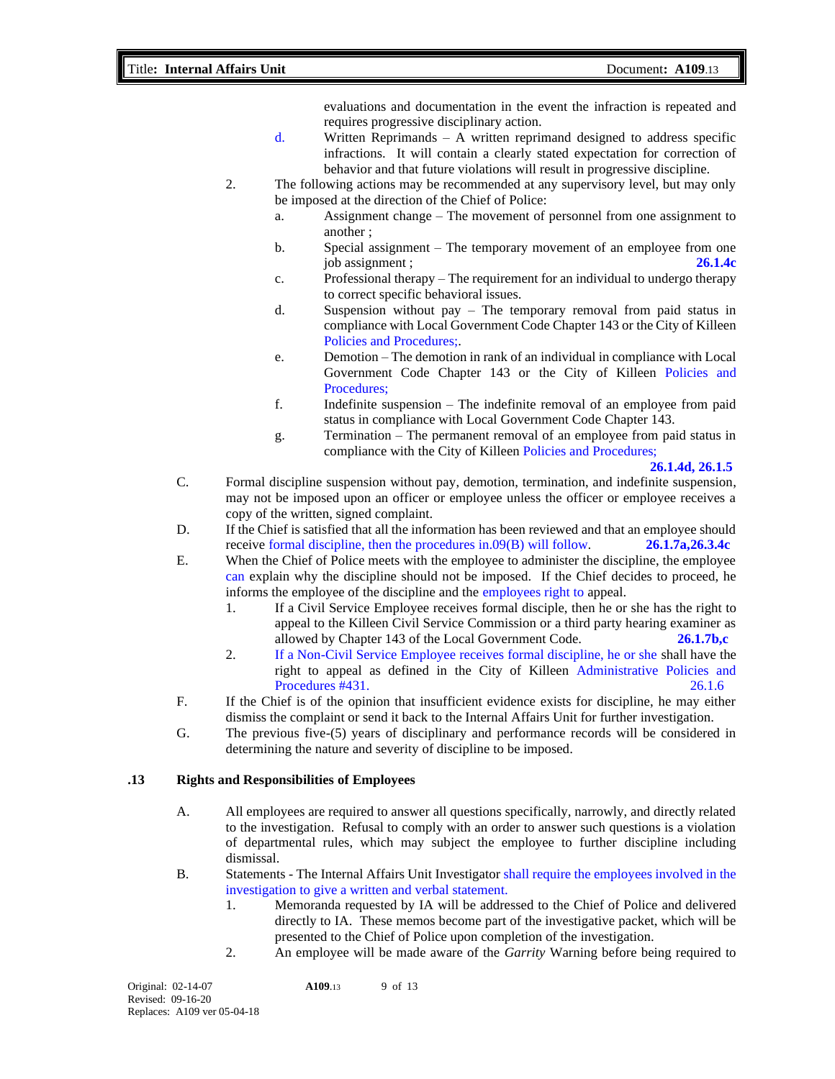### Title**: Internal Affairs Unit** Document**: A109**.13

evaluations and documentation in the event the infraction is repeated and requires progressive disciplinary action.

- d. Written Reprimands A written reprimand designed to address specific infractions. It will contain a clearly stated expectation for correction of behavior and that future violations will result in progressive discipline.
- 2. The following actions may be recommended at any supervisory level, but may only be imposed at the direction of the Chief of Police:
	- a. Assignment change The movement of personnel from one assignment to another ;
	- b. Special assignment The temporary movement of an employee from one job assignment ; **26.1.4c**
	- c. Professional therapy The requirement for an individual to undergo therapy to correct specific behavioral issues.
	- d. Suspension without pay The temporary removal from paid status in compliance with Local Government Code Chapter 143 or the City of Killeen Policies and Procedures;.
	- e. Demotion The demotion in rank of an individual in compliance with Local Government Code Chapter 143 or the City of Killeen Policies and Procedures;
	- f. Indefinite suspension The indefinite removal of an employee from paid status in compliance with Local Government Code Chapter 143.
	- g. Termination The permanent removal of an employee from paid status in compliance with the City of Killeen Policies and Procedures;

**26.1.4d, 26.1.5**

- C. Formal discipline suspension without pay, demotion, termination, and indefinite suspension, may not be imposed upon an officer or employee unless the officer or employee receives a copy of the written, signed complaint.
- D. If the Chief is satisfied that all the information has been reviewed and that an employee should receive formal discipline, then the procedures in.09(B) will follow. **26.1.7a,26.3.4c**
- E. When the Chief of Police meets with the employee to administer the discipline, the employee can explain why the discipline should not be imposed. If the Chief decides to proceed, he informs the employee of the discipline and the employees right to appeal.
	- 1. If a Civil Service Employee receives formal disciple, then he or she has the right to appeal to the Killeen Civil Service Commission or a third party hearing examiner as allowed by Chapter 143 of the Local Government Code. **26.1.7b,c**
	- 2. If a Non-Civil Service Employee receives formal discipline, he or she shall have the right to appeal as defined in the City of Killeen Administrative Policies and Procedures #431. 26.1.6
- F. If the Chief is of the opinion that insufficient evidence exists for discipline, he may either dismiss the complaint or send it back to the Internal Affairs Unit for further investigation.
- G. The previous five-(5) years of disciplinary and performance records will be considered in determining the nature and severity of discipline to be imposed.

#### **.13 Rights and Responsibilities of Employees**

- A. All employees are required to answer all questions specifically, narrowly, and directly related to the investigation. Refusal to comply with an order to answer such questions is a violation of departmental rules, which may subject the employee to further discipline including dismissal.
- B. Statements The Internal Affairs Unit Investigator shall require the employees involved in the investigation to give a written and verbal statement.
	- 1. Memoranda requested by IA will be addressed to the Chief of Police and delivered directly to IA. These memos become part of the investigative packet, which will be presented to the Chief of Police upon completion of the investigation.
	- 2. An employee will be made aware of the *Garrity* Warning before being required to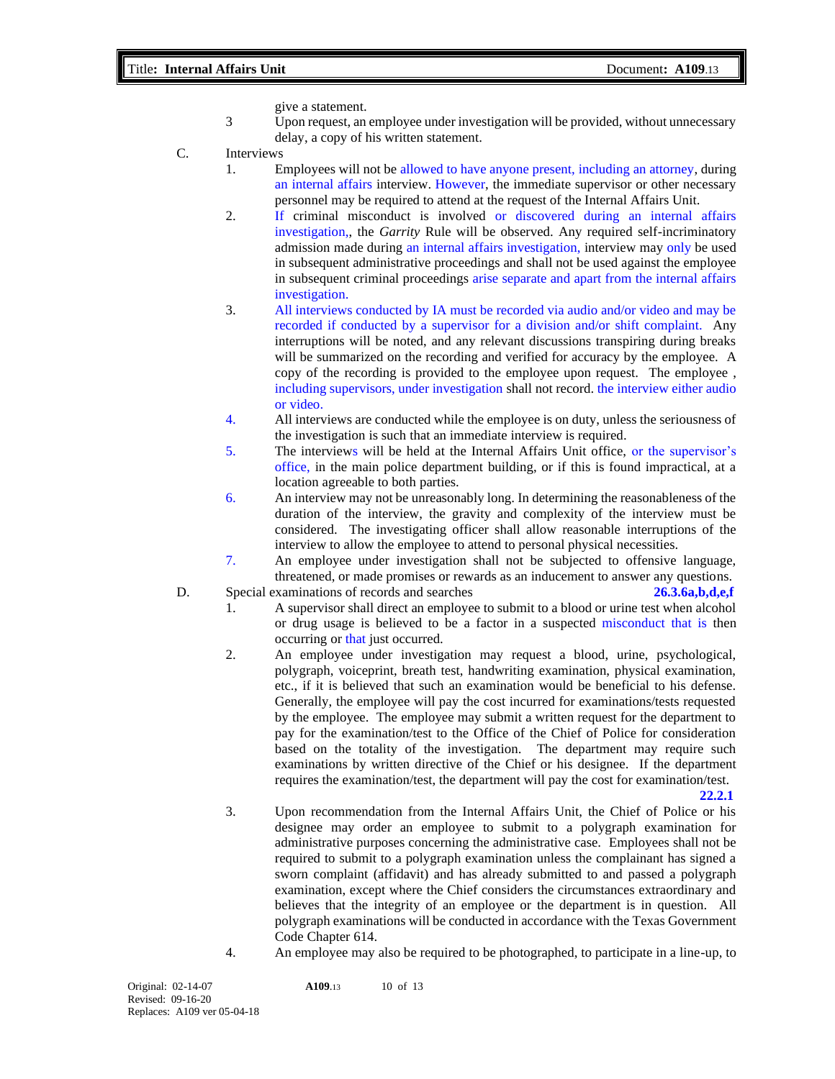give a statement.

- 3 Upon request, an employee under investigation will be provided, without unnecessary delay, a copy of his written statement.
- C. Interviews
	- 1. Employees will not be allowed to have anyone present, including an attorney, during an internal affairs interview. However, the immediate supervisor or other necessary personnel may be required to attend at the request of the Internal Affairs Unit.
	- 2. If criminal misconduct is involved or discovered during an internal affairs investigation,, the *Garrity* Rule will be observed. Any required self-incriminatory admission made during an internal affairs investigation, interview may only be used in subsequent administrative proceedings and shall not be used against the employee in subsequent criminal proceedings arise separate and apart from the internal affairs investigation.
	- 3. All interviews conducted by IA must be recorded via audio and/or video and may be recorded if conducted by a supervisor for a division and/or shift complaint. Any interruptions will be noted, and any relevant discussions transpiring during breaks will be summarized on the recording and verified for accuracy by the employee. A copy of the recording is provided to the employee upon request. The employee , including supervisors, under investigation shall not record. the interview either audio or video.
	- 4. All interviews are conducted while the employee is on duty, unless the seriousness of the investigation is such that an immediate interview is required.
	- 5. The interviews will be held at the Internal Affairs Unit office, or the supervisor's office, in the main police department building, or if this is found impractical, at a location agreeable to both parties.
	- 6. An interview may not be unreasonably long. In determining the reasonableness of the duration of the interview, the gravity and complexity of the interview must be considered. The investigating officer shall allow reasonable interruptions of the interview to allow the employee to attend to personal physical necessities.
	- 7. An employee under investigation shall not be subjected to offensive language, threatened, or made promises or rewards as an inducement to answer any questions.
- D. Special examinations of records and searches **26.3.6a,b,d,e,f**
	- 1. A supervisor shall direct an employee to submit to a blood or urine test when alcohol or drug usage is believed to be a factor in a suspected misconduct that is then occurring or that just occurred.
	- 2. An employee under investigation may request a blood, urine, psychological, polygraph, voiceprint, breath test, handwriting examination, physical examination, etc., if it is believed that such an examination would be beneficial to his defense. Generally, the employee will pay the cost incurred for examinations/tests requested by the employee. The employee may submit a written request for the department to pay for the examination/test to the Office of the Chief of Police for consideration based on the totality of the investigation. The department may require such examinations by written directive of the Chief or his designee. If the department requires the examination/test, the department will pay the cost for examination/test.

- **22.2.1** 3. Upon recommendation from the Internal Affairs Unit, the Chief of Police or his designee may order an employee to submit to a polygraph examination for administrative purposes concerning the administrative case. Employees shall not be required to submit to a polygraph examination unless the complainant has signed a sworn complaint (affidavit) and has already submitted to and passed a polygraph examination, except where the Chief considers the circumstances extraordinary and believes that the integrity of an employee or the department is in question. All polygraph examinations will be conducted in accordance with the Texas Government Code Chapter 614.
- 4. An employee may also be required to be photographed, to participate in a line-up, to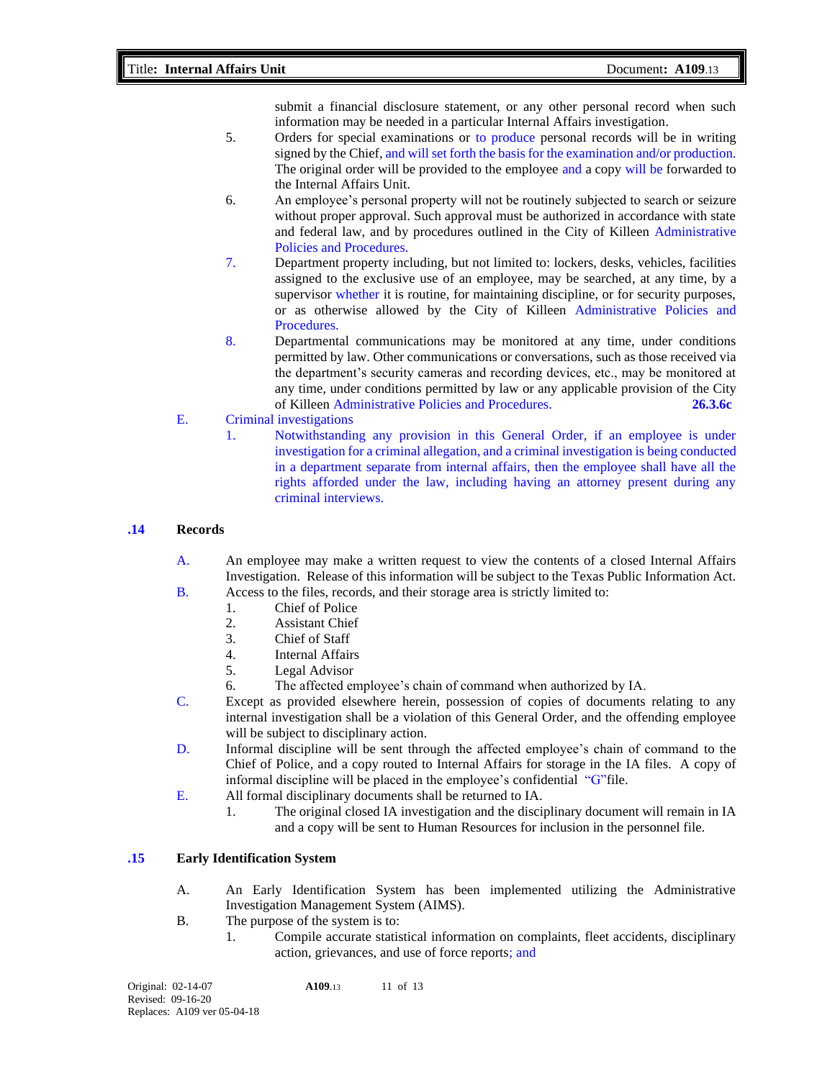submit a financial disclosure statement, or any other personal record when such information may be needed in a particular Internal Affairs investigation.

- 5. Orders for special examinations or to produce personal records will be in writing signed by the Chief, and will set forth the basis for the examination and/or production. The original order will be provided to the employee and a copy will be forwarded to the Internal Affairs Unit.
- 6. An employee's personal property will not be routinely subjected to search or seizure without proper approval. Such approval must be authorized in accordance with state and federal law, and by procedures outlined in the City of Killeen Administrative Policies and Procedures.
- 7. Department property including, but not limited to: lockers, desks, vehicles, facilities assigned to the exclusive use of an employee, may be searched, at any time, by a supervisor whether it is routine, for maintaining discipline, or for security purposes, or as otherwise allowed by the City of Killeen Administrative Policies and Procedures.
- 8. Departmental communications may be monitored at any time, under conditions permitted by law. Other communications or conversations, such as those received via the department's security cameras and recording devices, etc., may be monitored at any time, under conditions permitted by law or any applicable provision of the City of Killeen Administrative Policies and Procedures. **26.3.6c**
- E. Criminal investigations
	- 1. Notwithstanding any provision in this General Order, if an employee is under investigation for a criminal allegation, and a criminal investigation is being conducted in a department separate from internal affairs, then the employee shall have all the rights afforded under the law, including having an attorney present during any criminal interviews.

#### **.14 Records**

- A. An employee may make a written request to view the contents of a closed Internal Affairs Investigation. Release of this information will be subject to the Texas Public Information Act.
- B. Access to the files, records, and their storage area is strictly limited to:
	- 1. Chief of Police
	- 2. Assistant Chief
	- 3. Chief of Staff
	- 4. Internal Affairs
	- 5. Legal Advisor
	- 6. The affected employee's chain of command when authorized by IA.
- C. Except as provided elsewhere herein, possession of copies of documents relating to any internal investigation shall be a violation of this General Order, and the offending employee will be subject to disciplinary action.
- D. Informal discipline will be sent through the affected employee's chain of command to the Chief of Police, and a copy routed to Internal Affairs for storage in the IA files. A copy of informal discipline will be placed in the employee's confidential "G"file.
- E. All formal disciplinary documents shall be returned to IA.
	- 1. The original closed IA investigation and the disciplinary document will remain in IA and a copy will be sent to Human Resources for inclusion in the personnel file.

#### **.15 Early Identification System**

- A. An Early Identification System has been implemented utilizing the Administrative Investigation Management System (AIMS).
- B. The purpose of the system is to:
	- 1. Compile accurate statistical information on complaints, fleet accidents, disciplinary action, grievances, and use of force reports; and

| Original: 02-14-07          | A <sub>109.13</sub> | 11 of $13$ |
|-----------------------------|---------------------|------------|
| Revised: 09-16-20           |                     |            |
| Replaces: A109 ver 05-04-18 |                     |            |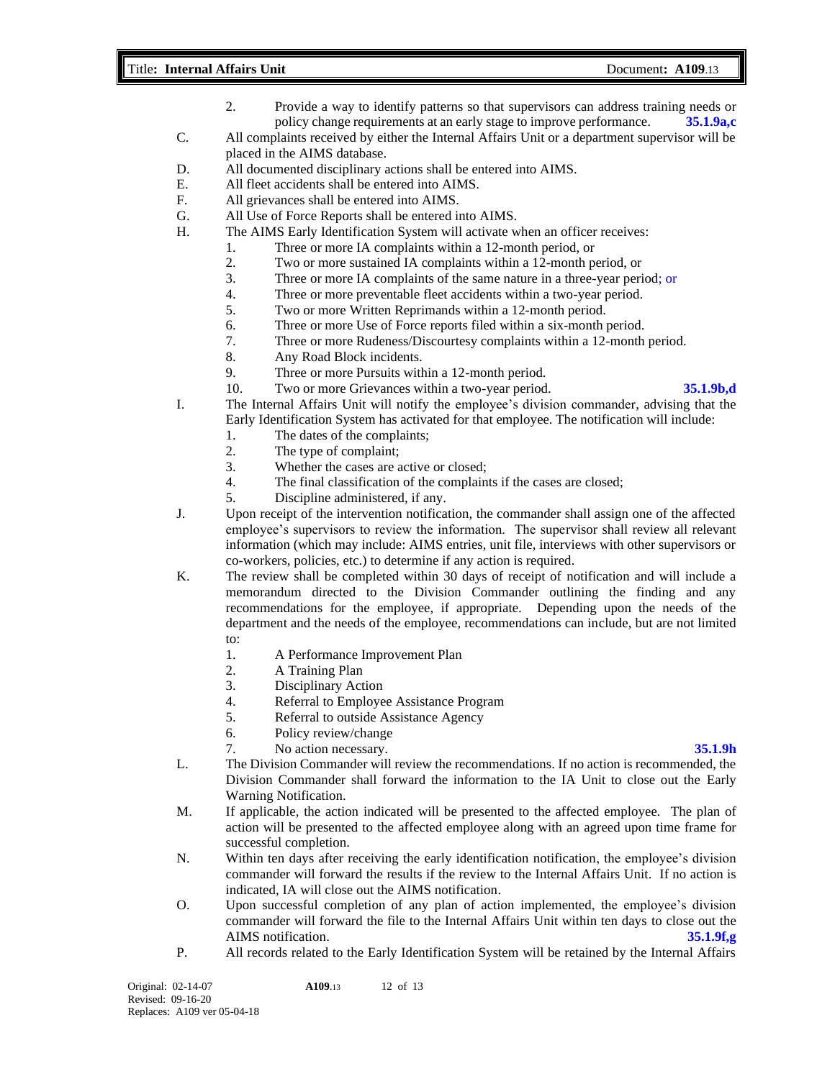#### Title**: Internal Affairs Unit** Document**: A109**.13

- 2. Provide a way to identify patterns so that supervisors can address training needs or policy change requirements at an early stage to improve performance. **35.1.9a,c**
- C. All complaints received by either the Internal Affairs Unit or a department supervisor will be placed in the AIMS database.
- D. All documented disciplinary actions shall be entered into AIMS.
- E. All fleet accidents shall be entered into AIMS.
- F. All grievances shall be entered into AIMS.
- G. All Use of Force Reports shall be entered into AIMS.
- H. The AIMS Early Identification System will activate when an officer receives:
	- 1. Three or more IA complaints within a 12-month period, or
	- 2. Two or more sustained IA complaints within a 12-month period, or
	- 3. Three or more IA complaints of the same nature in a three-year period; or
	- 4. Three or more preventable fleet accidents within a two-year period.
	- 5. Two or more Written Reprimands within a 12-month period.
	- 6. Three or more Use of Force reports filed within a six-month period.
	- 7. Three or more Rudeness/Discourtesy complaints within a 12-month period.
	- 8. Any Road Block incidents.
	- 9. Three or more Pursuits within a 12-month period.
	- 10. Two or more Grievances within a two-year period. **35.1.9b,d**

- I. The Internal Affairs Unit will notify the employee's division commander, advising that the Early Identification System has activated for that employee. The notification will include:
	- 1. The dates of the complaints;
	- 2. The type of complaint;
	- 3. Whether the cases are active or closed;
	- 4. The final classification of the complaints if the cases are closed;
	- 5. Discipline administered, if any.
- J. Upon receipt of the intervention notification, the commander shall assign one of the affected employee's supervisors to review the information. The supervisor shall review all relevant information (which may include: AIMS entries, unit file, interviews with other supervisors or co-workers, policies, etc.) to determine if any action is required.
- K. The review shall be completed within 30 days of receipt of notification and will include a memorandum directed to the Division Commander outlining the finding and any recommendations for the employee, if appropriate. Depending upon the needs of the department and the needs of the employee, recommendations can include, but are not limited to:
	- 1. A Performance Improvement Plan
	- 2. A Training Plan
	- 3. Disciplinary Action
	- 4. Referral to Employee Assistance Program
	- 5. Referral to outside Assistance Agency
	- 6. Policy review/change
	- 7. No action necessary. **35.1.9h**

- L. The Division Commander will review the recommendations. If no action is recommended, the Division Commander shall forward the information to the IA Unit to close out the Early Warning Notification.
- M. If applicable, the action indicated will be presented to the affected employee. The plan of action will be presented to the affected employee along with an agreed upon time frame for successful completion.
- N. Within ten days after receiving the early identification notification, the employee's division commander will forward the results if the review to the Internal Affairs Unit. If no action is indicated, IA will close out the AIMS notification.
- O. Upon successful completion of any plan of action implemented, the employee's division commander will forward the file to the Internal Affairs Unit within ten days to close out the AIMS notification. **35.1.9f,g**
- P. All records related to the Early Identification System will be retained by the Internal Affairs